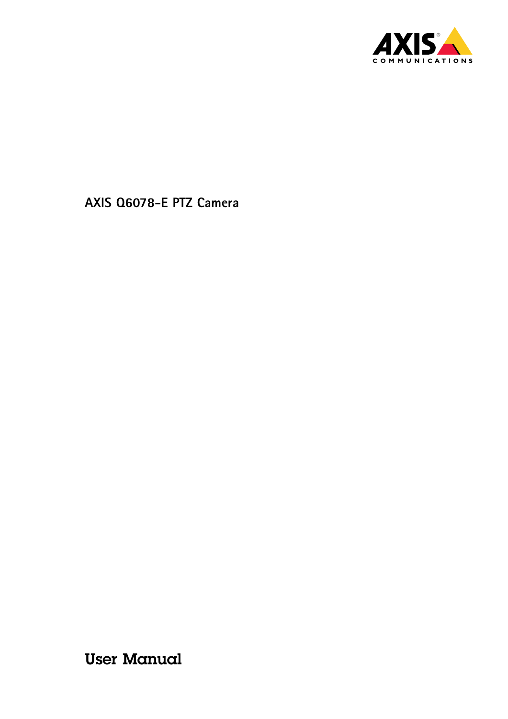

User Manual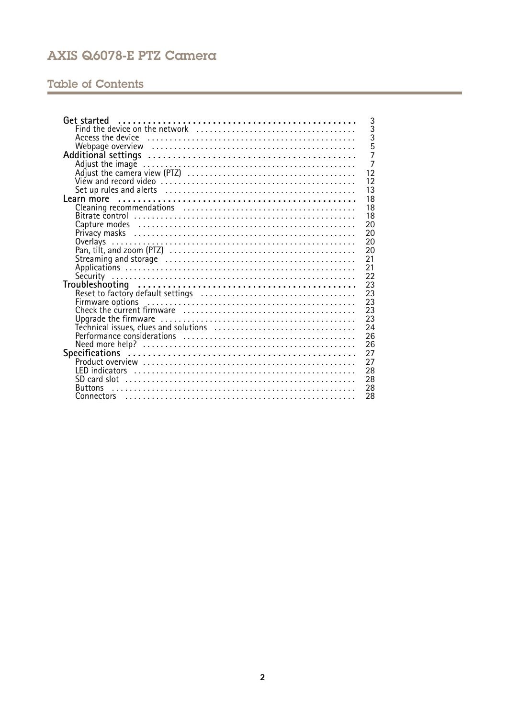# **Table of Contents**

| Get started                                                 | 3              |
|-------------------------------------------------------------|----------------|
|                                                             | $\overline{3}$ |
|                                                             | $\bar{3}$      |
|                                                             | $\overline{5}$ |
|                                                             | $\overline{7}$ |
|                                                             | $\overline{7}$ |
|                                                             | 12             |
|                                                             | 12             |
|                                                             | 13             |
|                                                             | 18             |
|                                                             | 18             |
|                                                             | 18             |
| 20                                                          |                |
| 20                                                          |                |
| 20<br>Overlays                                              |                |
| 20                                                          |                |
| 21                                                          |                |
| 21                                                          |                |
| 22                                                          |                |
| 23                                                          |                |
| 23                                                          |                |
| Reset to factory default settings<br>Firmware options<br>23 |                |
| 23                                                          |                |
| 23                                                          |                |
| 24                                                          |                |
| 26                                                          |                |
| 26                                                          |                |
| 27                                                          |                |
| 27                                                          |                |
| 28                                                          |                |
| 28                                                          |                |
| 28<br><b>Buttons</b>                                        |                |
| 28                                                          |                |
|                                                             |                |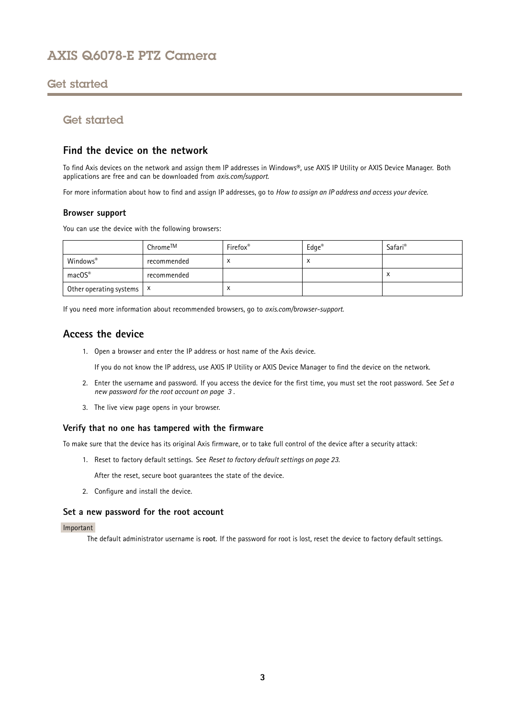## <span id="page-2-0"></span>Get started

## Get started

## **Find the device on the network**

To find Axis devices on the network and assign them IP addresses in Windows®, use AXIS IP Utility or AXIS Device Manager. Both applications are free and can be downloaded from *[axis.com/support](https://www.axis.com/support)*.

For more information about how to find and assign IP addresses, go to *How to [assign](https://www.axis.com/products/online-manual/i90000) an IP address and access your device*.

### **Browser support**

You can use the device with the following browsers:

|                                      | Chrome™     | Firefox <sup>®</sup> | $Edge^{\circledast}$ | Safari <sup>®</sup> |
|--------------------------------------|-------------|----------------------|----------------------|---------------------|
| Windows®                             | recommended |                      | ⌒                    |                     |
| macOS®                               | recommended |                      |                      | $\lambda$           |
| Other operating systems $\mathbf{x}$ |             | $\lambda$            |                      |                     |

If you need more information about recommended browsers, go to *[axis.com/browser-support](https://www.axis.com/browser-support)*.

## **Access the device**

1. Open <sup>a</sup> browser and enter the IP address or host name of the Axis device.

If you do not know the IP address, use AXIS IP Utility or AXIS Device Manager to find the device on the network.

- 2. Enter the username and password. If you access the device for the first time, you must set the root password. See *Set <sup>a</sup> new password for the root account on page 3* .
- 3. The live view page opens in your browser.

## **Verify that no one has tampered with the firmware**

To make sure that the device has its original Axis firmware, or to take full control of the device after <sup>a</sup> security attack:

1. Reset to factory default settings. See *Reset to factory default [settings](#page-22-0) on page [23](#page-22-0)*.

After the reset, secure boot guarantees the state of the device.

2. Configure and install the device.

### **Set <sup>a</sup> new password for the root account**

### Important

The default administrator username is **root**. If the password for root is lost, reset the device to factory default settings.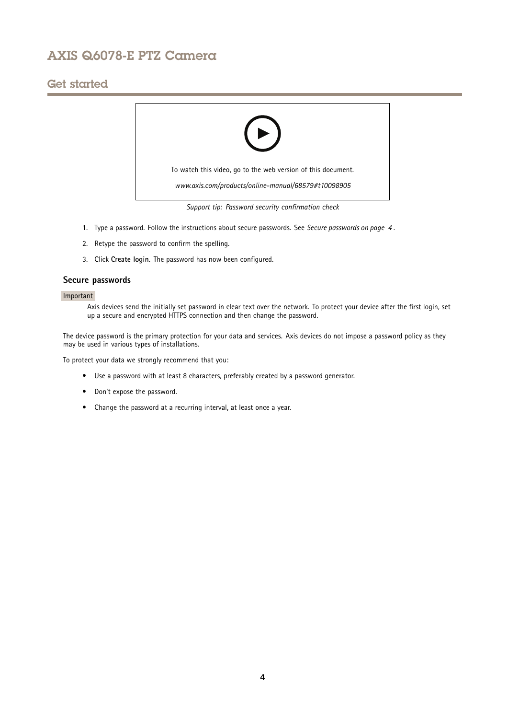## Get started



- 1. Type <sup>a</sup> password. Follow the instructions about secure passwords. See *Secure passwords on page <sup>4</sup>* .
- 2. Retype the password to confirm the spelling.
- 3. Click **Create login**. The password has now been configured.

### **Secure passwords**

### Important

Axis devices send the initially set password in clear text over the network. To protect your device after the first login, set up <sup>a</sup> secure and encrypted HTTPS connection and then change the password.

The device password is the primary protection for your data and services. Axis devices do not impose <sup>a</sup> password policy as they may be used in various types of installations.

To protect your data we strongly recommend that you:

- Use <sup>a</sup> password with at least 8 characters, preferably created by <sup>a</sup> password generator.
- Don't expose the password.
- Change the password at <sup>a</sup> recurring interval, at least once <sup>a</sup> year.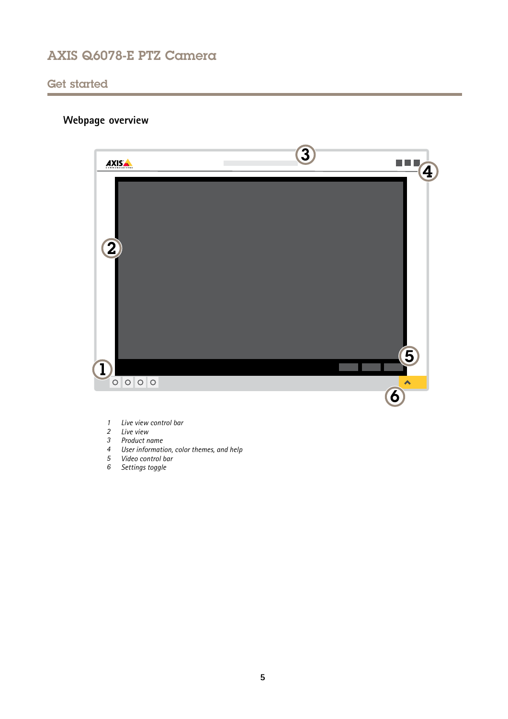## <span id="page-4-0"></span>Get started

# **Webpage overview**



- *1 Live view control bar*
- *2 Live view*
- *3 Product name*
- *<sup>4</sup> User information, color themes, and help*
- *5 Video control bar*
- *6 Settings toggle*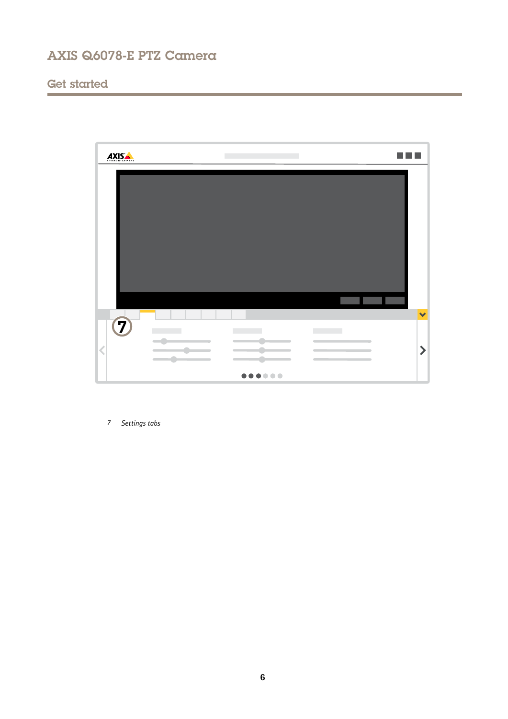# Get started



*7 Settings tabs*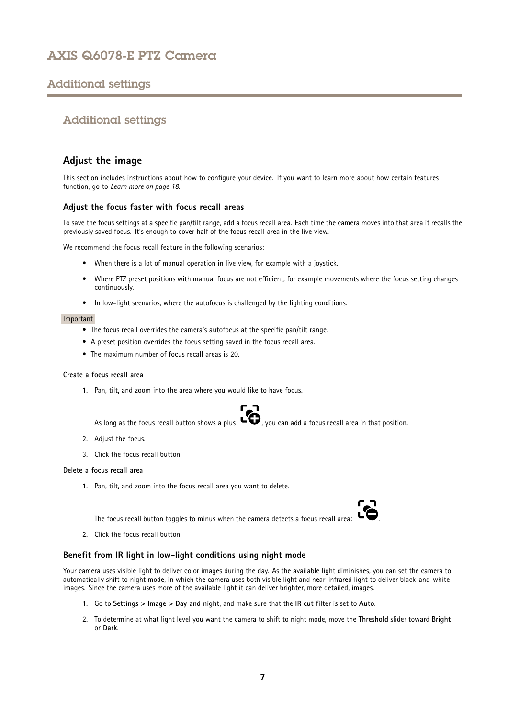## <span id="page-6-0"></span>Additional settings

## Additional settings

## **Adjust the image**

This section includes instructions about how to configure your device. If you want to learn more about how certain features function, go to *[Learn](#page-17-0) more on page [18](#page-17-0)*.

## **Adjust the focus faster with focus recall areas**

To save the focus settings at <sup>a</sup> specific pan/tilt range, add <sup>a</sup> focus recall area. Each time the camera moves into that area it recalls the previously saved focus. It's enough to cover half of the focus recall area in the live view.

We recommend the focus recall feature in the following scenarios:

- When there is <sup>a</sup> lot of manual operation in live view, for example with <sup>a</sup> joystick.
- • Where PTZ preset positions with manual focus are not efficient, for example movements where the focus setting changes continuously.
- In low-light scenarios, where the autofocus is challenged by the lighting conditions.

#### Important

- The focus recall overrides the camera's autofocus at the specific pan/tilt range.
- A preset position overrides the focus setting saved in the focus recall area.
- The maximum number of focus recall areas is 20.

#### **Create <sup>a</sup> focus recall area**

1. Pan, tilt, and zoom into the area where you would like to have focus.



As long as the focus recall button shows a plus  $\ddot{\bullet}$ , you can add a focus recall area in that position.

- 2. Adjust the focus.
- 3. Click the focus recall button.

#### **Delete <sup>a</sup> focus recall area**

1. Pan, tilt, and zoom into the focus recall area you want to delete.



The focus recall button toggles to minus when the camera detects a focus recall area:

2. Click the focus recall button.

## **Benefit from IR light in low-light conditions using night mode**

Your camera uses visible light to deliver color images during the day. As the available light diminishes, you can set the camera to automatically shift to night mode, in which the camera uses both visible light and near-infrared light to deliver black-and-white images. Since the camera uses more of the available light it can deliver brighter, more detailed, images.

- 1. Go to **Settings <sup>&</sup>gt; Image <sup>&</sup>gt; Day and night**, and make sure that the **IR cut filter** is set to **Auto**.
- 2. To determine at what light level you want the camera to shift to night mode, move the **Threshold** slider toward **Bright** or **Dark**.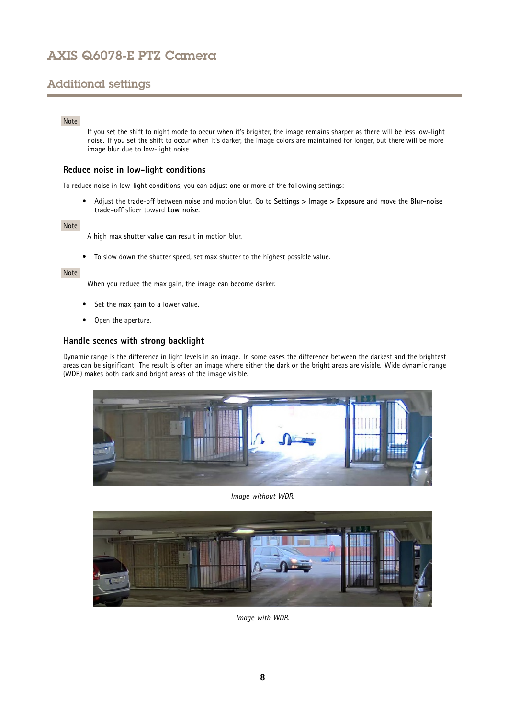# Additional settings

### Note

If you set the shift to night mode to occur when it's brighter, the image remains sharper as there will be less low-light noise. If you set the shift to occur when it's darker, the image colors are maintained for longer, but there will be more image blur due to low-light noise.

## **Reduce noise in low-light conditions**

To reduce noise in low-light conditions, you can adjust one or more of the following settings:

• Adjust the trade-off between noise and motion blur. Go to **Settings <sup>&</sup>gt; Image <sup>&</sup>gt; Exposure** and move the **Blur-noise trade-off** slider toward **Low noise**.

#### Note

A high max shutter value can result in motion blur.

• To slow down the shutter speed, set max shutter to the highest possible value.

### Note

When you reduce the max gain, the image can become darker.

- •Set the max gain to <sup>a</sup> lower value.
- Open the aperture.

## **Handle scenes with strong backlight**

Dynamic range is the difference in light levels in an image. In some cases the difference between the darkest and the brightest areas can be significant. The result is often an image where either the dark or the bright areas are visible. Wide dynamic range (WDR) makes both dark and bright areas of the image visible.



*Image without WDR.*



*Image with WDR.*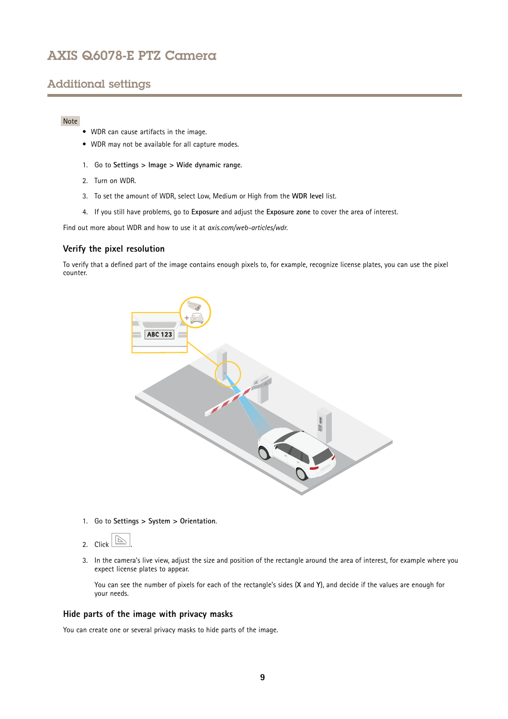## Additional settings

## Note

- WDR can cause artifacts in the image.
- WDR may not be available for all capture modes.
- 1. Go to **Settings <sup>&</sup>gt; Image <sup>&</sup>gt; Wide dynamic range**.
- 2. Turn on WDR.
- 3. To set the amount of WDR, select Low, Medium or High from the **WDR level** list.
- 4. If you still have problems, go to **Exposure** and adjust the **Exposure zone** to cover the area of interest.

Find out more about WDR and how to use it at *[axis.com/web-articles/wdr](https://www.axis.com/web-articles/wdr)*.

### **Verify the pixel resolution**

To verify that <sup>a</sup> defined part of the image contains enough pixels to, for example, recognize license plates, you can use the pixel counter.



1. Go to **Settings <sup>&</sup>gt; System <sup>&</sup>gt; Orientation**.



3. In the camera's live view, adjust the size and position of the rectangle around the area of interest, for example where you expect license plates to appear.

You can see the number of pixels for each of the rectangle's sides (**X** and **Y**), and decide if the values are enough for your needs.

### **Hide parts of the image with privacy masks**

You can create one or several privacy masks to hide parts of the image.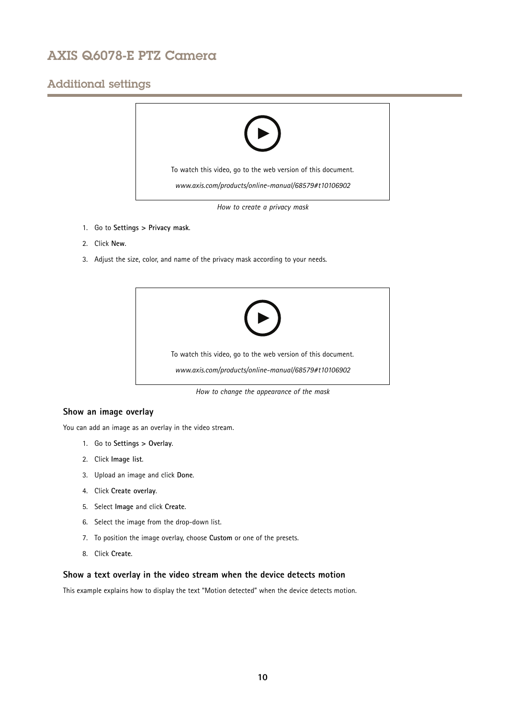## Additional settings



*How to create <sup>a</sup> privacy mask*

- 1. Go to **Settings <sup>&</sup>gt; Privacy mask**.
- 2. Click **New**.
- 3. Adjust the size, color, and name of the privacy mask according to your needs.



*How to change the appearance of the mask*

## **Show an image overlay**

You can add an image as an overlay in the video stream.

- 1. Go to **Settings <sup>&</sup>gt; Overlay**.
- 2. Click **Image list**.
- 3. Upload an image and click **Done**.
- 4. Click **Create overlay**.
- 5. Select **Image** and click **Create**.
- 6. Select the image from the drop-down list.
- 7. To position the image overlay, choose **Custom** or one of the presets.
- 8. Click **Create**.

## **Show <sup>a</sup> text overlay in the video stream when the device detects motion**

This example explains how to display the text "Motion detected" when the device detects motion.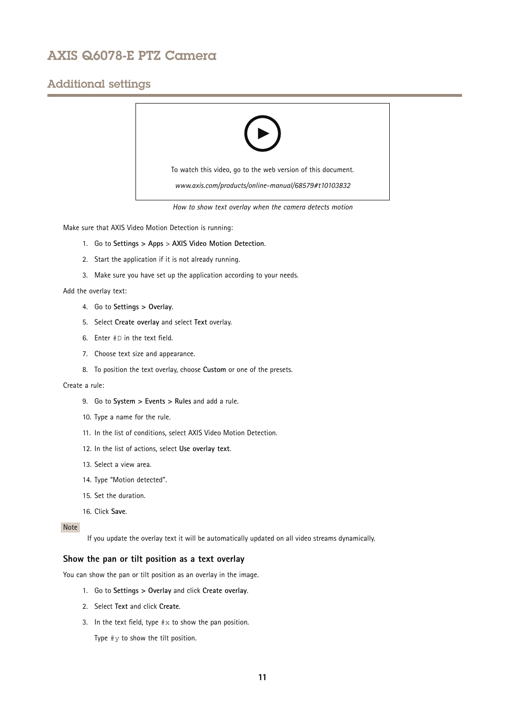## Additional settings



*How to show text overlay when the camera detects motion*

Make sure that AXIS Video Motion Detection is running:

- 1. Go to **Settings <sup>&</sup>gt; Apps** <sup>&</sup>gt; **AXIS Video Motion Detection**.
- 2. Start the application if it is not already running.
- 3. Make sure you have set up the application according to your needs.

Add the overlay text:

- 4. Go to **Settings <sup>&</sup>gt; Overlay**.
- 5. Select **Create overlay** and select **Text** overlay.
- 6. Enter #D in the text field.
- 7. Choose text size and appearance.
- 8. To position the text overlay, choose **Custom** or one of the presets.

### Create <sup>a</sup> rule:

- 9. Go to **System <sup>&</sup>gt; Events <sup>&</sup>gt; Rules** and add <sup>a</sup> rule.
- 10. Type <sup>a</sup> name for the rule.
- 11. In the list of conditions, select AXIS Video Motion Detection.
- 12. In the list of actions, select **Use overlay text**.
- 13. Select <sup>a</sup> view area.
- 14. Type "Motion detected".
- 15. Set the duration.
- 16. Click **Save**.

## Note

If you update the overlay text it will be automatically updated on all video streams dynamically.

## **Show the pan or tilt position as <sup>a</sup> text overlay**

You can show the pan or tilt position as an overlay in the image.

- 1. Go to **Settings <sup>&</sup>gt; Overlay** and click **Create overlay**.
- 2. Select **Text** and click **Create**.
- 3. In the text field, type  $\# \times$  to show the pan position.

Type  $\#$ y to show the tilt position.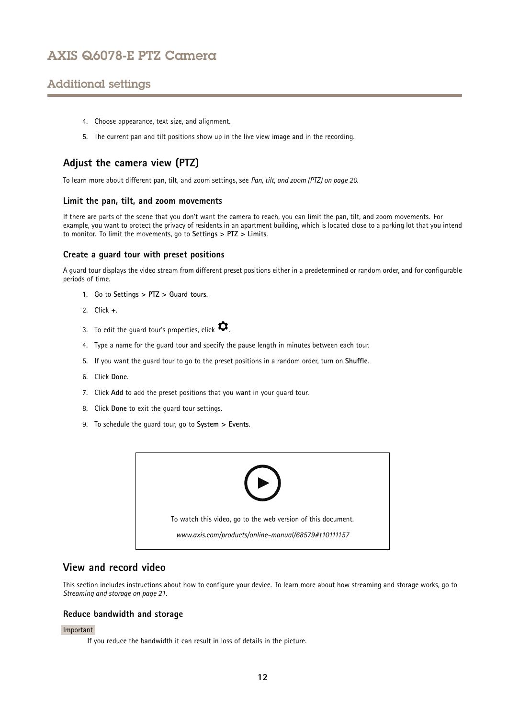# <span id="page-11-0"></span>Additional settings

- 4. Choose appearance, text size, and alignment.
- 5. The current pan and tilt positions show up in the live view image and in the recording.

## **Adjust the camera view (PTZ)**

To learn more about different pan, tilt, and zoom settings, see *Pan, tilt, and zoom [\(PTZ\)](#page-19-0) on page [20](#page-19-0)*.

### **Limit the pan, tilt, and zoom movements**

If there are parts of the scene that you don't want the camera to reach, you can limit the pan, tilt, and zoom movements. For example, you want to protect the privacy of residents in an apartment building, which is located close to <sup>a</sup> parking lot that you intend to monitor. To limit the movements, go to **Settings <sup>&</sup>gt; PTZ <sup>&</sup>gt; Limits**.

### **Create <sup>a</sup> guard tour with preset positions**

A guard tour displays the video stream from different preset positions either in <sup>a</sup> predetermined or random order, and for configurable periods of time.

- 1. Go to **Settings <sup>&</sup>gt; PTZ <sup>&</sup>gt; Guard tours**.
- 2. Click **<sup>+</sup>**.
- 3. To edit the guard tour's properties, click  $\boldsymbol{\mathcal{D}}$ .
- 4. Type <sup>a</sup> name for the guard tour and specify the pause length in minutes between each tour.
- 5. If you want the guard tour to go to the preset positions in <sup>a</sup> random order, turn on **Shuffle**.
- 6. Click **Done**.
- 7. Click **Add** to add the preset positions that you want in your guard tour.
- 8. Click **Done** to exit the guard tour settings.
- 9. To schedule the guard tour, go to **System <sup>&</sup>gt; Events**.



## **View and record video**

This section includes instructions about how to configure your device. To learn more about how streaming and storage works, go to *[Streaming](#page-20-0) and storage on page [21](#page-20-0)*.

### **Reduce bandwidth and storage**

#### Important

If you reduce the bandwidth it can result in loss of details in the picture.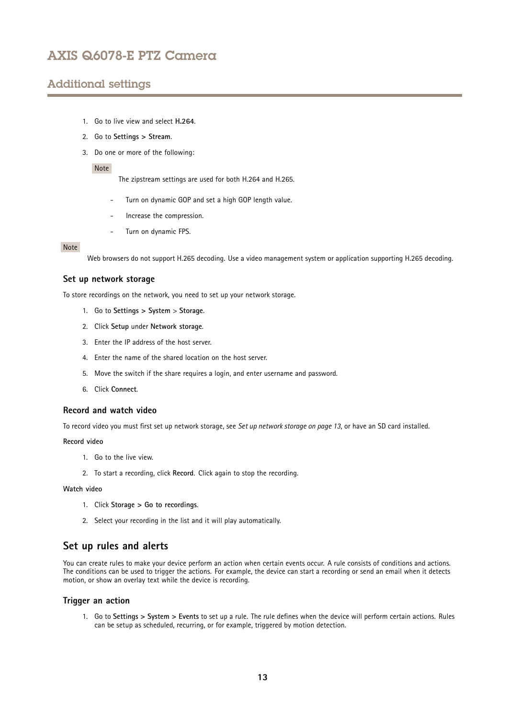## <span id="page-12-0"></span>Additional settings

- 1. Go to live view and select **H.264**.
- 2. Go to **Settings <sup>&</sup>gt; Stream**.
- 3. Do one or more of the following:

#### Note

The zipstream settings are used for both H.264 and H.265.

- Turn on dynamic GOP and set <sup>a</sup> high GOP length value.
- Increase the compression.
- Turn on dynamic FPS.

#### Note

Web browsers do not support H.265 decoding. Use <sup>a</sup> video management system or application supporting H.265 decoding.

### **Set up network storage**

To store recordings on the network, you need to set up your network storage.

- 1. Go to **Settings <sup>&</sup>gt; System** <sup>&</sup>gt; **Storage**.
- 2. Click **Setup** under **Network storage**.
- 3. Enter the IP address of the host server.
- 4. Enter the name of the shared location on the host server.
- 5. Move the switch if the share requires <sup>a</sup> login, and enter username and password.
- 6. Click **Connect**.

### **Record and watch video**

To record video you must first set up network storage, see *Set up network storage on page 13*, or have an SD card installed.

#### **Record video**

- 1. Go to the live view.
- 2. To start <sup>a</sup> recording, click **Record**. Click again to stop the recording.

#### **Watch video**

- 1. Click **Storage <sup>&</sup>gt; Go to recordings**.
- 2. Select your recording in the list and it will play automatically.

## **Set up rules and alerts**

You can create rules to make your device perform an action when certain events occur. A rule consists of conditions and actions. The conditions can be used to trigger the actions. For example, the device can start <sup>a</sup> recording or send an email when it detects motion, or show an overlay text while the device is recording.

### **Trigger an action**

1. Go to **Settings <sup>&</sup>gt; System <sup>&</sup>gt; Events** to set up <sup>a</sup> rule. The rule defines when the device will perform certain actions. Rules can be setup as scheduled, recurring, or for example, triggered by motion detection.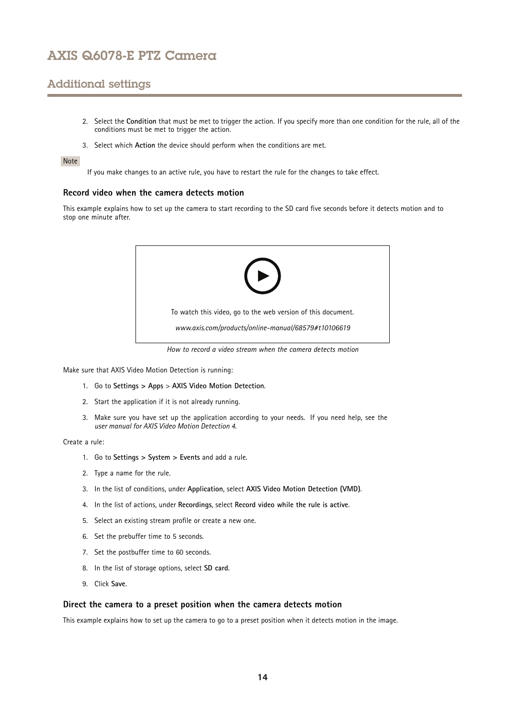## Additional settings

- 2. Select the **Condition** that must be met to trigger the action. If you specify more than one condition for the rule, all of the conditions must be met to trigger the action.
- 3. Select which **Action** the device should perform when the conditions are met.

#### Note

If you make changes to an active rule, you have to restart the rule for the changes to take effect.

### **Record video when the camera detects motion**

This example explains how to set up the camera to start recording to the SD card five seconds before it detects motion and to stop one minute after.



*How to record a video stream when the camera detects motion*

Make sure that AXIS Video Motion Detection is running:

- 1. Go to **Settings <sup>&</sup>gt; Apps** <sup>&</sup>gt; **AXIS Video Motion Detection**.
- 2. Start the application if it is not already running.
- 3. Make sure you have set up the application according to your needs. If you need help, see the *user manual for AXIS Video Motion [Detection](https://www.axis.com/products/online-manual/44110) 4*.

#### Create <sup>a</sup> rule:

- 1. Go to **Settings <sup>&</sup>gt; System <sup>&</sup>gt; Events** and add <sup>a</sup> rule.
- 2. Type <sup>a</sup> name for the rule.
- 3. In the list of conditions, under **Application**, select **AXIS Video Motion Detection (VMD)**.
- 4. In the list of actions, under **Recordings**, select **Record video while the rule is active**.
- 5. Select an existing stream profile or create <sup>a</sup> new one.
- 6. Set the prebuffer time to 5 seconds.
- 7. Set the postbuffer time to 60 seconds.
- 8. In the list of storage options, select **SD card**.
- 9. Click **Save**.

### **Direct the camera to <sup>a</sup> preset position when the camera detects motion**

This example explains how to set up the camera to go to <sup>a</sup> preset position when it detects motion in the image.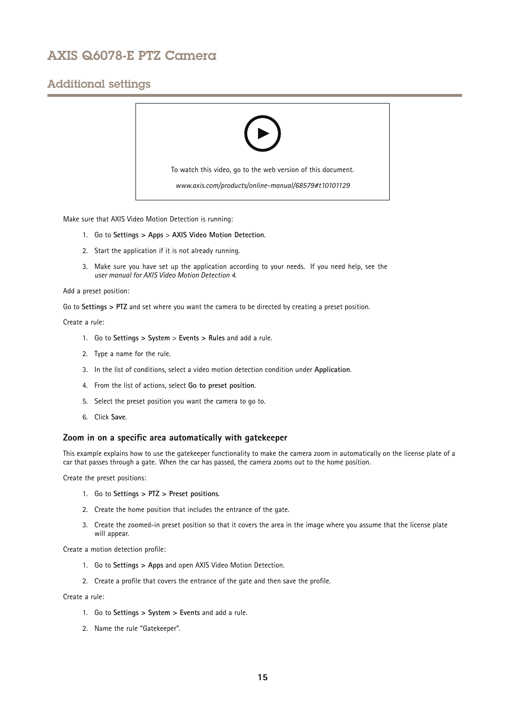## Additional settings



Make sure that AXIS Video Motion Detection is running:

- 1. Go to **Settings <sup>&</sup>gt; Apps** <sup>&</sup>gt; **AXIS Video Motion Detection**.
- 2. Start the application if it is not already running.
- 3. Make sure you have set up the application according to your needs. If you need help, see the *user manual for AXIS Video Motion [Detection](https://www.axis.com/products/online-manual/44110) 4*.

#### Add <sup>a</sup> preset position:

Go to **Settings <sup>&</sup>gt; PTZ** and set where you want the camera to be directed by creating <sup>a</sup> preset position.

#### Create <sup>a</sup> rule:

- 1. Go to **Settings <sup>&</sup>gt; System** <sup>&</sup>gt; **Events <sup>&</sup>gt; Rules** and add <sup>a</sup> rule.
- 2. Type <sup>a</sup> name for the rule.
- 3. In the list of conditions, select <sup>a</sup> video motion detection condition under **Application**.
- 4. From the list of actions, select **Go to preset position**.
- 5. Select the preset position you want the camera to go to.
- 6. Click **Save**.

### **Zoom in on <sup>a</sup> specific area automatically with gatekeeper**

This example explains how to use the gatekeeper functionality to make the camera zoom in automatically on the license plate of <sup>a</sup> car that passes through <sup>a</sup> gate. When the car has passed, the camera zooms out to the home position.

Create the preset positions:

- 1. Go to **Settings <sup>&</sup>gt; PTZ <sup>&</sup>gt; Preset positions**.
- 2. Create the home position that includes the entrance of the gate.
- 3. Create the zoomed-in preset position so that it covers the area in the image where you assume that the license plate will appear.

Create <sup>a</sup> motion detection profile:

- 1. Go to **Settings <sup>&</sup>gt; Apps** and open AXIS Video Motion Detection.
- 2. Create <sup>a</sup> profile that covers the entrance of the gate and then save the profile.

Create <sup>a</sup> rule:

- 1. Go to **Settings <sup>&</sup>gt; System <sup>&</sup>gt; Events** and add <sup>a</sup> rule.
- 2. Name the rule "Gatekeeper".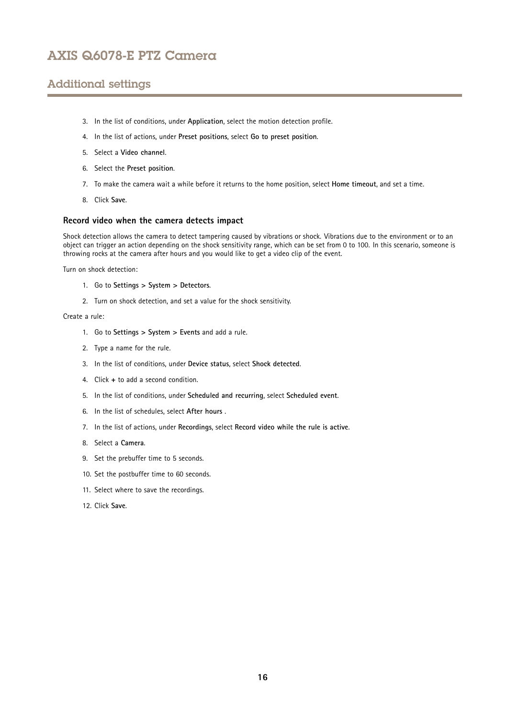# Additional settings

- 3. In the list of conditions, under **Application**, select the motion detection profile.
- 4. In the list of actions, under **Preset positions**, select **Go to preset position**.
- 5. Select <sup>a</sup> **Video channel**.
- 6. Select the **Preset position**.
- 7. To make the camera wait <sup>a</sup> while before it returns to the home position, select **Home timeout**, and set <sup>a</sup> time.
- 8. Click **Save**.

### **Record video when the camera detects impact**

Shock detection allows the camera to detect tampering caused by vibrations or shock. Vibrations due to the environment or to an object can trigger an action depending on the shock sensitivity range, which can be set from 0 to 100. In this scenario, someone is throwing rocks at the camera after hours and you would like to get <sup>a</sup> video clip of the event.

Turn on shock detection:

- 1. Go to **Settings <sup>&</sup>gt; System <sup>&</sup>gt; Detectors**.
- 2. Turn on shock detection, and set <sup>a</sup> value for the shock sensitivity.

Create <sup>a</sup> rule:

- 1. Go to **Settings <sup>&</sup>gt; System <sup>&</sup>gt; Events** and add <sup>a</sup> rule.
- 2. Type <sup>a</sup> name for the rule.
- 3. In the list of conditions, under **Device status**, select **Shock detected**.
- 4. Click **<sup>+</sup>** to add <sup>a</sup> second condition.
- 5. In the list of conditions, under **Scheduled and recurring**, select **Scheduled event**.
- 6. In the list of schedules, select **After hours** .
- 7. In the list of actions, under **Recordings**, select **Record video while the rule is active**.
- 8. Select <sup>a</sup> **Camera**.
- 9. Set the prebuffer time to 5 seconds.
- 10. Set the postbuffer time to 60 seconds.
- 11. Select where to save the recordings.
- 12. Click **Save**.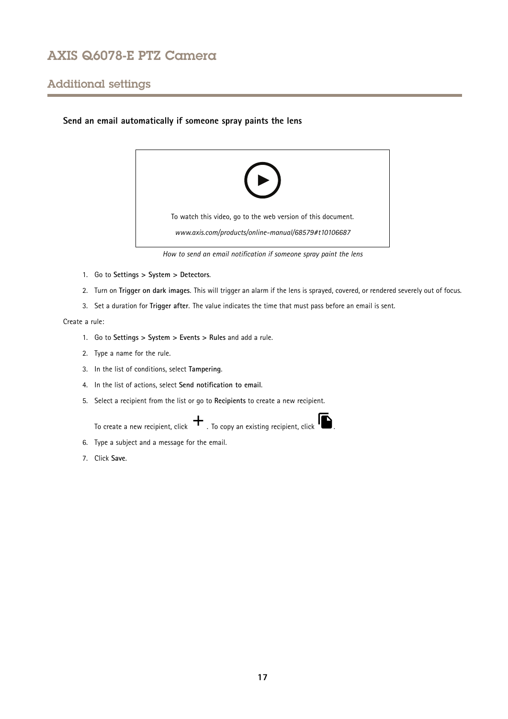## Additional settings

## **Send an email automatically if someone spray paints the lens**



*How to send an email notification if someone spray paint the lens*

- 1. Go to **Settings <sup>&</sup>gt; System <sup>&</sup>gt; Detectors**.
- 2. Turn on **Trigger on dark images**. This will trigger an alarm if the lens is sprayed, covered, or rendered severely out of focus.
- 3. Set <sup>a</sup> duration for **Trigger after**. The value indicates the time that must pass before an email is sent.

## Create <sup>a</sup> rule:

- 1. Go to **Settings <sup>&</sup>gt; System <sup>&</sup>gt; Events <sup>&</sup>gt; Rules** and add <sup>a</sup> rule.
- 2. Type <sup>a</sup> name for the rule.
- 3. In the list of conditions, select **Tampering**.
- 4. In the list of actions, select **Send notification to email**.
- 5. Select <sup>a</sup> recipient from the list or go to **Recipients** to create <sup>a</sup> new recipient.

To create a new recipient, click  $+$ . To copy an existing recipient, click  $\blacksquare$ .

- 6. Type <sup>a</sup> subject and <sup>a</sup> message for the email.
- 7. Click **Save**.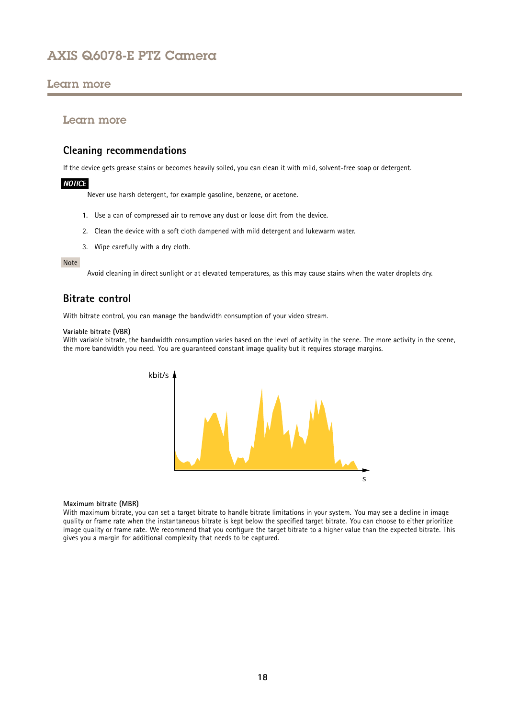## <span id="page-17-0"></span>Learn more

## Learn more

## **Cleaning recommendations**

If the device gets grease stains or becomes heavily soiled, you can clean it with mild, solvent-free soap or detergent.

## *NOTICE*

Never use harsh detergent, for example gasoline, benzene, or acetone.

- 1. Use <sup>a</sup> can of compressed air to remove any dust or loose dirt from the device.
- 2. Clean the device with <sup>a</sup> soft cloth dampened with mild detergent and lukewarm water.
- 3. Wipe carefully with <sup>a</sup> dry cloth.

#### Note

Avoid cleaning in direct sunlight or at elevated temperatures, as this may cause stains when the water droplets dry.

## **Bitrate control**

With bitrate control, you can manage the bandwidth consumption of your video stream.

### **Variable bitrate (VBR)**

With variable bitrate, the bandwidth consumption varies based on the level of activity in the scene. The more activity in the scene, the more bandwidth you need. You are guaranteed constant image quality but it requires storage margins.



#### **Maximum bitrate (MBR)**

With maximum bitrate, you can set <sup>a</sup> target bitrate to handle bitrate limitations in your system. You may see <sup>a</sup> decline in image quality or frame rate when the instantaneous bitrate is kept below the specified target bitrate. You can choose to either prioritize image quality or frame rate. We recommend that you configure the target bitrate to <sup>a</sup> higher value than the expected bitrate. This gives you <sup>a</sup> margin for additional complexity that needs to be captured.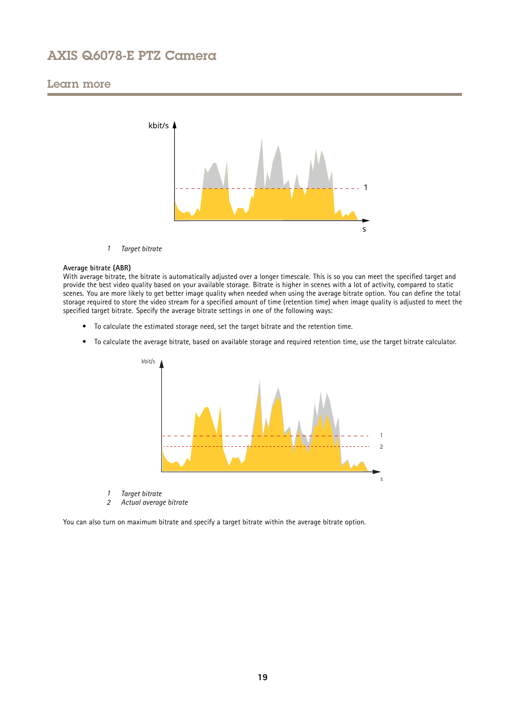## Learn more



*1 Target bitrate*

#### **Average bitrate (ABR)**

With average bitrate, the bitrate is automatically adjusted over a longer timescale. This is so you can meet the specified target and provide the best video quality based on your available storage. Bitrate is higher in scenes with <sup>a</sup> lot of activity, compared to static scenes. You are more likely to get better image quality when needed when using the average bitrate option. You can define the total storage required to store the video stream for <sup>a</sup> specified amount of time (retention time) when image quality is adjusted to meet the specified target bitrate. Specify the average bitrate settings in one of the following ways:

- To calculate the estimated storage need, set the target bitrate and the retention time.
- To calculate the average bitrate, based on available storage and required retention time, use the target bitrate calculator.



- *1 Target bitrate*
- *2 Actual average bitrate*

You can also turn on maximum bitrate and specify <sup>a</sup> target bitrate within the average bitrate option.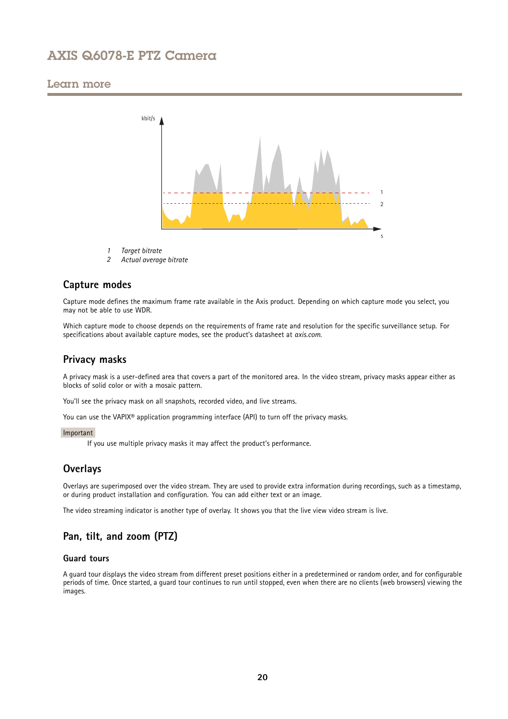## <span id="page-19-0"></span>Learn more



- *1 Target bitrate*
- *2 Actual average bitrate*

## **Capture modes**

Capture mode defines the maximum frame rate available in the Axis product. Depending on which capture mode you select, you may not be able to use WDR.

Which capture mode to choose depends on the requirements of frame rate and resolution for the specific surveillance setup. For specifications about available capture modes, see the product's datasheet at *[axis.com](https://www.axis.com)*.

## **Privacy masks**

A privacy mask is <sup>a</sup> user-defined area that covers <sup>a</sup> part of the monitored area. In the video stream, privacy masks appear either as blocks of solid color or with <sup>a</sup> mosaic pattern.

You'll see the privacy mask on all snapshots, recorded video, and live streams.

You can use the VAPIX<sup>®</sup> application programming interface (API) to turn off the privacy masks.

### Important

If you use multiple privacy masks it may affect the product's performance.

## **Overlays**

Overlays are superimposed over the video stream. They are used to provide extra information during recordings, such as <sup>a</sup> timestamp, or during product installation and configuration. You can add either text or an image.

The video streaming indicator is another type of overlay. It shows you that the live view video stream is live.

## **Pan, tilt, and zoom (PTZ)**

## **Guard tours**

A guard tour displays the video stream from different preset positions either in <sup>a</sup> predetermined or random order, and for configurable periods of time. Once started, <sup>a</sup> guard tour continues to run until stopped, even when there are no clients (web browsers) viewing the images.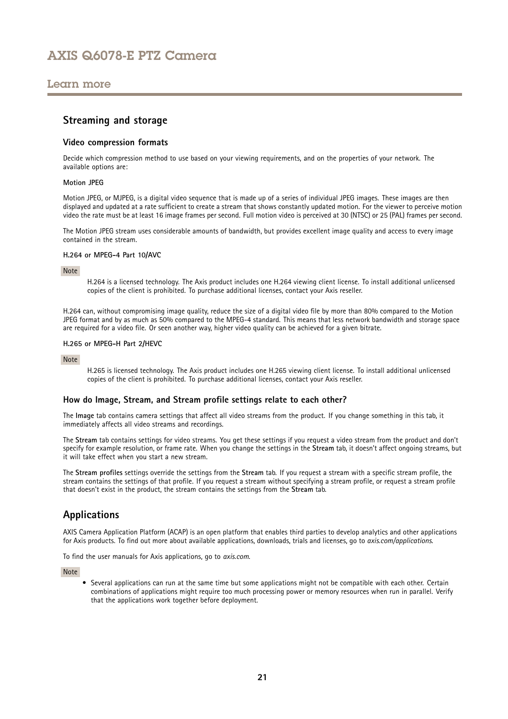## <span id="page-20-0"></span>Learn more

## **Streaming and storage**

### **Video compression formats**

Decide which compression method to use based on your viewing requirements, and on the properties of your network. The available options are:

### **Motion JPEG**

Motion JPEG, or MJPEG, is <sup>a</sup> digital video sequence that is made up of <sup>a</sup> series of individual JPEG images. These images are then displayed and updated at <sup>a</sup> rate sufficient to create <sup>a</sup> stream that shows constantly updated motion. For the viewer to perceive motion video the rate must be at least <sup>16</sup> image frames per second. Full motion video is perceived at <sup>30</sup> (NTSC) or <sup>25</sup> (PAL) frames per second.

The Motion JPEG stream uses considerable amounts of bandwidth, but provides excellent image quality and access to every image contained in the stream.

#### **H.264 or MPEG-4 Part 10/AVC**

#### Note

H.264 is <sup>a</sup> licensed technology. The Axis product includes one H.264 viewing client license. To install additional unlicensed copies of the client is prohibited. To purchase additional licenses, contact your Axis reseller.

H.264 can, without compromising image quality, reduce the size of <sup>a</sup> digital video file by more than 80% compared to the Motion JPEG format and by as much as 50% compared to the MPEG-4 standard. This means that less network bandwidth and storage space are required for <sup>a</sup> video file. Or seen another way, higher video quality can be achieved for <sup>a</sup> given bitrate.

#### **H.265 or MPEG-H Part 2/HEVC**

#### Note

H.265 is licensed technology. The Axis product includes one H.265 viewing client license. To install additional unlicensed copies of the client is prohibited. To purchase additional licenses, contact your Axis reseller.

## **How do Image, Stream, and Stream profile settings relate to each other?**

The **Image** tab contains camera settings that affect all video streams from the product. If you change something in this tab, it immediately affects all video streams and recordings.

The **Stream** tab contains settings for video streams. You get these settings if you request <sup>a</sup> video stream from the product and don't specify for example resolution, or frame rate. When you change the settings in the **Stream** tab, it doesn't affect ongoing streams, but it will take effect when you start <sup>a</sup> new stream.

The **Stream profiles** settings override the settings from the **Stream** tab. If you request <sup>a</sup> stream with <sup>a</sup> specific stream profile, the stream contains the settings of that profile. If you request <sup>a</sup> stream without specifying <sup>a</sup> stream profile, or request <sup>a</sup> stream profile that doesn't exist in the product, the stream contains the settings from the **Stream** tab.

## **Applications**

AXIS Camera Application Platform (ACAP) is an open platform that enables third parties to develop analytics and other applications for Axis products. To find out more about available applications, downloads, trials and licenses, go to *[axis.com/applications](https://www.axis.com/applications)*.

To find the user manuals for Axis applications, go to *[axis.com](https://www.axis.com)*.

Note

• Several applications can run at the same time but some applications might not be compatible with each other. Certain combinations of applications might require too much processing power or memory resources when run in parallel. Verify that the applications work together before deployment.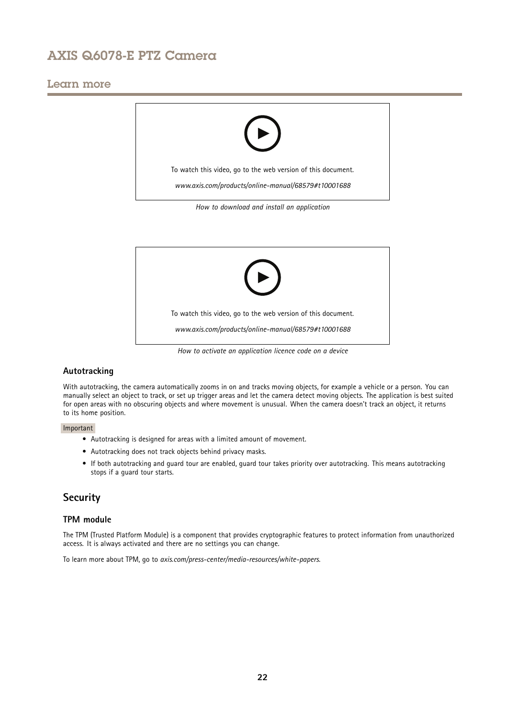## <span id="page-21-0"></span>Learn more





## **Autotracking**

With autotracking, the camera automatically zooms in on and tracks moving objects, for example <sup>a</sup> vehicle or <sup>a</sup> person. You can manually select an object to track, or set up trigger areas and let the camera detect moving objects. The application is best suited for open areas with no obscuring objects and where movement is unusual. When the camera doesn't track an object, it returns to its home position.

### Important

- Autotracking is designed for areas with <sup>a</sup> limited amount of movement.
- Autotracking does not track objects behind privacy masks.
- If both autotracking and guard tour are enabled, guard tour takes priority over autotracking. This means autotracking stops if <sup>a</sup> guard tour starts.

## **Security**

## **TPM module**

The TPM (Trusted Platform Module) is <sup>a</sup> component that provides cryptographic features to protect information from unauthorized access. It is always activated and there are no settings you can change.

To learn more about TPM, go to *[axis.com/press-center/media-resources/white-papers](https://www.axis.com/press-center/media-resources/white-papers)*.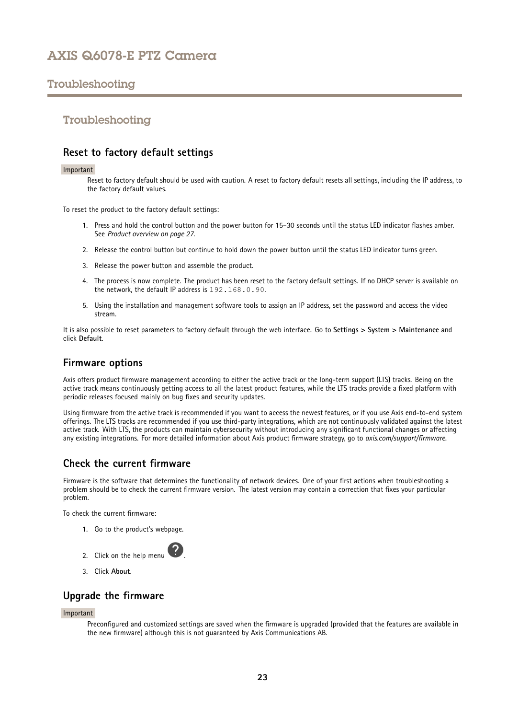## <span id="page-22-0"></span>Troubleshooting

## Troubleshooting

## **Reset to factory default settings**

#### Important

Reset to factory default should be used with caution. A reset to factory default resets all settings, including the IP address, to the factory default values.

To reset the product to the factory default settings:

- 1. Press and hold the control button and the power button for 15–30 seconds until the status LED indicator flashes amber. See *Product [overview](#page-26-0) on page [27](#page-26-0)*.
- 2. Release the control button but continue to hold down the power button until the status LED indicator turns green.
- 3. Release the power button and assemble the product.
- 4. The process is now complete. The product has been reset to the factory default settings. If no DHCP server is available on the network, the default IP address is 192.168.0.90.
- 5. Using the installation and management software tools to assign an IP address, set the password and access the video stream.

It is also possible to reset parameters to factory default through the web interface. Go to **Settings <sup>&</sup>gt; System <sup>&</sup>gt; Maintenance** and click **Default**.

## **Firmware options**

Axis offers product firmware management according to either the active track or the long-term support (LTS) tracks. Being on the active track means continuously getting access to all the latest product features, while the LTS tracks provide <sup>a</sup> fixed platform with periodic releases focused mainly on bug fixes and security updates.

Using firmware from the active track is recommended if you want to access the newest features, or if you use Axis end-to-end system offerings. The LTS tracks are recommended if you use third-party integrations, which are not continuously validated against the latest active track. With LTS, the products can maintain cybersecurity without introducing any significant functional changes or affecting any existing integrations. For more detailed information about Axis product firmware strategy, go to *[axis.com/support/firmware](https://www.axis.com/support/firmware)*.

## **Check the current firmware**

Firmware is the software that determines the functionality of network devices. One of your first actions when troubleshooting <sup>a</sup> problem should be to check the current firmware version. The latest version may contain <sup>a</sup> correction that fixes your particular problem.

To check the current firmware:

1. Go to the product's webpage.



3. Click **About**.

## **Upgrade the firmware**

#### Important

Preconfigured and customized settings are saved when the firmware is upgraded (provided that the features are available in the new firmware) although this is not guaranteed by Axis Communications AB.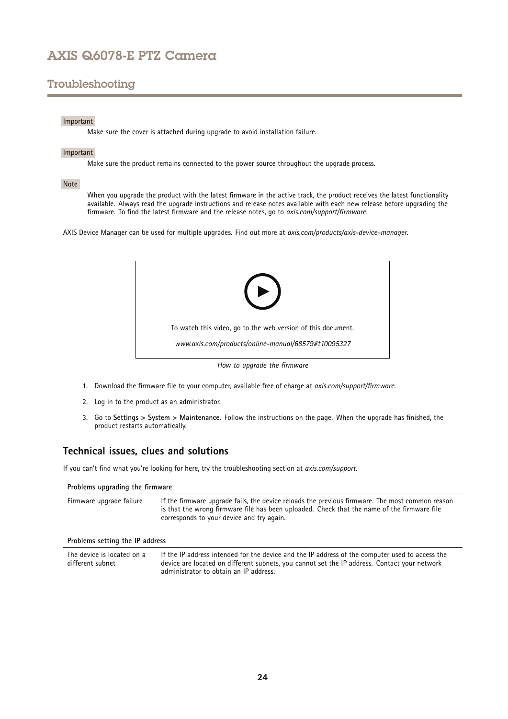# <span id="page-23-0"></span>Troubleshooting

### Important

Make sure the cover is attached during upgrade to avoid installation failure.

### Important

Make sure the product remains connected to the power source throughout the upgrade process.

### Note

When you upgrade the product with the latest firmware in the active track, the product receives the latest functionality available. Always read the upgrade instructions and release notes available with each new release before upgrading the firmware. To find the latest firmware and the release notes, go to *[axis.com/support/firmware](https://www.axis.com/support/firmware)*.

AXIS Device Manager can be used for multiple upgrades. Find out more at *[axis.com/products/axis-device-manager](https://www.axis.com/products/axis-device-manager)*.



- 1. Download the firmware file to your computer, available free of charge at *[axis.com/support/firmware](https://www.axis.com/support/firmware)*.
- 2. Log in to the product as an administrator.
- 3. Go to **Settings <sup>&</sup>gt; System <sup>&</sup>gt; Maintenance**. Follow the instructions on the page. When the upgrade has finished, the product restarts automatically.

## **Technical issues, clues and solutions**

If you can't find what you're looking for here, try the troubleshooting section at *[axis.com/support](https://www.axis.com/support)*.

administrator to obtain an IP address.

| Problems upgrading the firmware                |                                                                                                                                                                                                                                             |  |  |  |
|------------------------------------------------|---------------------------------------------------------------------------------------------------------------------------------------------------------------------------------------------------------------------------------------------|--|--|--|
| Firmware upgrade failure                       | If the firmware upgrade fails, the device reloads the previous firmware. The most common reason<br>is that the wrong firmware file has been uploaded. Check that the name of the firmware file<br>corresponds to your device and try again. |  |  |  |
| Problems setting the IP address                |                                                                                                                                                                                                                                             |  |  |  |
| The device is located on a<br>different subnet | If the IP address intended for the device and the IP address of the computer used to access the<br>device are located on different subnets, you cannot set the IP address. Contact your network                                             |  |  |  |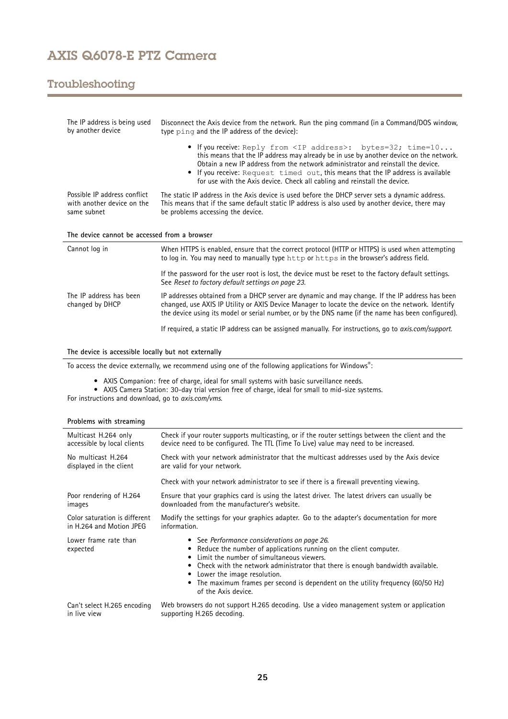# Troubleshooting

| The IP address is being used<br>by another device                         | Disconnect the Axis device from the network. Run the ping command (in a Command/DOS window,<br>type ping and the IP address of the device):                                                                                                                                                                                                                                                                                 |  |
|---------------------------------------------------------------------------|-----------------------------------------------------------------------------------------------------------------------------------------------------------------------------------------------------------------------------------------------------------------------------------------------------------------------------------------------------------------------------------------------------------------------------|--|
|                                                                           | • If you receive: Reply from <ip address="">: bytes=32; time=10<br/>this means that the IP address may already be in use by another device on the network.<br/>Obtain a new IP address from the network administrator and reinstall the device.<br/>If you receive: Request timed out, this means that the IP address is available<br/>٠<br/>for use with the Axis device. Check all cabling and reinstall the device.</ip> |  |
| Possible IP address conflict<br>with another device on the<br>same subnet | The static IP address in the Axis device is used before the DHCP server sets a dynamic address.<br>This means that if the same default static IP address is also used by another device, there may<br>be problems accessing the device.                                                                                                                                                                                     |  |
| The device cannot be accessed from a browser                              |                                                                                                                                                                                                                                                                                                                                                                                                                             |  |
|                                                                           |                                                                                                                                                                                                                                                                                                                                                                                                                             |  |
| Cannot log in                                                             | When HTTPS is enabled, ensure that the correct protocol (HTTP or HTTPS) is used when attempting<br>to log in. You may need to manually type http or https in the browser's address field.                                                                                                                                                                                                                                   |  |
|                                                                           | If the password for the user root is lost, the device must be reset to the factory default settings.<br>See Reset to factory default settings on page 23.                                                                                                                                                                                                                                                                   |  |
| The IP address has been<br>changed by DHCP                                | IP addresses obtained from a DHCP server are dynamic and may change. If the IP address has been<br>changed, use AXIS IP Utility or AXIS Device Manager to locate the device on the network. Identify<br>the device using its model or serial number, or by the DNS name (if the name has been configured).                                                                                                                  |  |

### **The device is accessible locally but not externally**

To access the device externally, we recommend using one of the following applications for Windows® :

- 
- AXIS Companion: free of charge, ideal for small systems with basic surveillance needs. AXIS Camera Station: 30-day trial version free of charge, ideal for small to mid-size systems.

For instructions and download, go to *[axis.com/vms](https://www.axis.com/vms)*.

# **Problems with streaming**

| Multicast H.264 only              | Check if your router supports multicasting, or if the router settings between the client and the                                                                                                                                                                                                                                                                                         |
|-----------------------------------|------------------------------------------------------------------------------------------------------------------------------------------------------------------------------------------------------------------------------------------------------------------------------------------------------------------------------------------------------------------------------------------|
| accessible by local clients       | device need to be configured. The TTL (Time To Live) value may need to be increased.                                                                                                                                                                                                                                                                                                     |
| No multicast H.264                | Check with your network administrator that the multicast addresses used by the Axis device                                                                                                                                                                                                                                                                                               |
| displayed in the client           | are valid for your network.                                                                                                                                                                                                                                                                                                                                                              |
|                                   | Check with your network administrator to see if there is a firewall preventing viewing.                                                                                                                                                                                                                                                                                                  |
| Poor rendering of H.264           | Ensure that your graphics card is using the latest driver. The latest drivers can usually be                                                                                                                                                                                                                                                                                             |
| images                            | downloaded from the manufacturer's website.                                                                                                                                                                                                                                                                                                                                              |
| Color saturation is different     | Modify the settings for your graphics adapter. Go to the adapter's documentation for more                                                                                                                                                                                                                                                                                                |
| in H.264 and Motion JPEG          | information.                                                                                                                                                                                                                                                                                                                                                                             |
| Lower frame rate than<br>expected | • See Performance considerations on page 26.<br>Reduce the number of applications running on the client computer.<br>Limit the number of simultaneous viewers.<br>Check with the network administrator that there is enough bandwidth available.<br>Lower the image resolution.<br>The maximum frames per second is dependent on the utility frequency (60/50 Hz)<br>of the Axis device. |
| Can't select H.265 encoding       | Web browsers do not support H.265 decoding. Use a video management system or application                                                                                                                                                                                                                                                                                                 |
| in live view                      | supporting H.265 decoding.                                                                                                                                                                                                                                                                                                                                                               |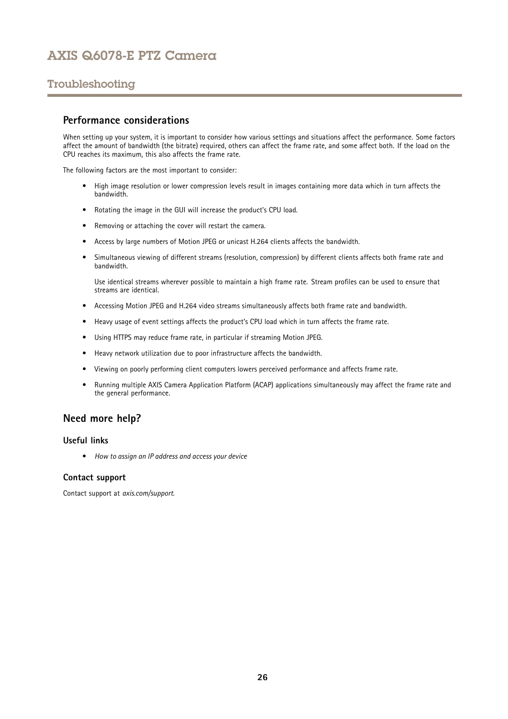# <span id="page-25-0"></span>Troubleshooting

## **Performance considerations**

When setting up your system, it is important to consider how various settings and situations affect the performance. Some factors affect the amount of bandwidth (the bitrate) required, others can affect the frame rate, and some affect both. If the load on the CPU reaches its maximum, this also affects the frame rate.

The following factors are the most important to consider:

- High image resolution or lower compression levels result in images containing more data which in turn affects the bandwidth.
- Rotating the image in the GUI will increase the product's CPU load.
- Removing or attaching the cover will restart the camera.
- •Access by large numbers of Motion JPEG or unicast H.264 clients affects the bandwidth.
- • Simultaneous viewing of different streams (resolution, compression) by different clients affects both frame rate and bandwidth.

Use identical streams wherever possible to maintain <sup>a</sup> high frame rate. Stream profiles can be used to ensure that streams are identical.

- Accessing Motion JPEG and H.264 video streams simultaneously affects both frame rate and bandwidth.
- Heavy usage of event settings affects the product's CPU load which in turn affects the frame rate.
- Using HTTPS may reduce frame rate, in particular if streaming Motion JPEG.
- •Heavy network utilization due to poor infrastructure affects the bandwidth.
- •Viewing on poorly performing client computers lowers perceived performance and affects frame rate.
- • Running multiple AXIS Camera Application Platform (ACAP) applications simultaneously may affect the frame rate and the general performance.

## **Need more help?**

## **Useful links**

• *How to assign an IP [address](https://www.axis.com/files/manuals/um_howtoassignanipaddressandaccessyourdevice_t10118032_en_1811.pdf) and access your device*

### **Contact support**

Contact support at *[axis.com/support](https://www.axis.com/support)*.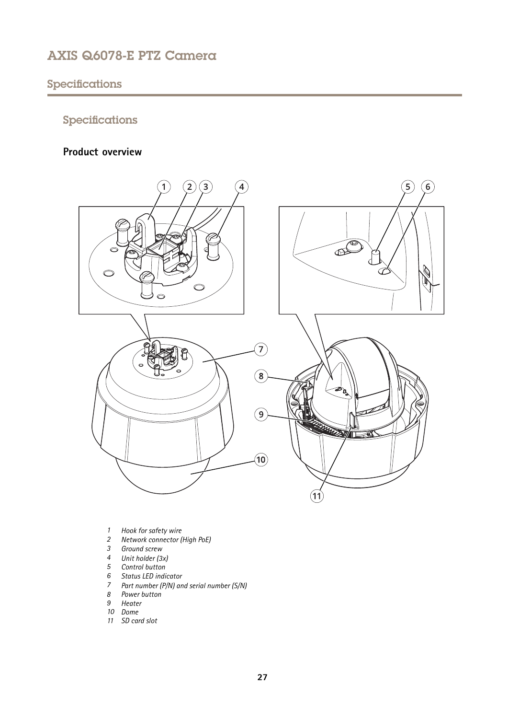# <span id="page-26-0"></span>Specifications

# Specifications

# **Product overview**



- *1 Hook for safety wire*
- *<sup>2</sup> Network connector (High PoE)*
- *3 Ground screw*
- *<sup>4</sup> Unit holder (3x)*
- 
- *5 Control button 6 Status LED indicator*
- *<sup>7</sup> Part number (P/N) and serial number (S/N)*
- *8 Power button*
- *9 Heater*
- *10 Dome*
- *11 SD card slot*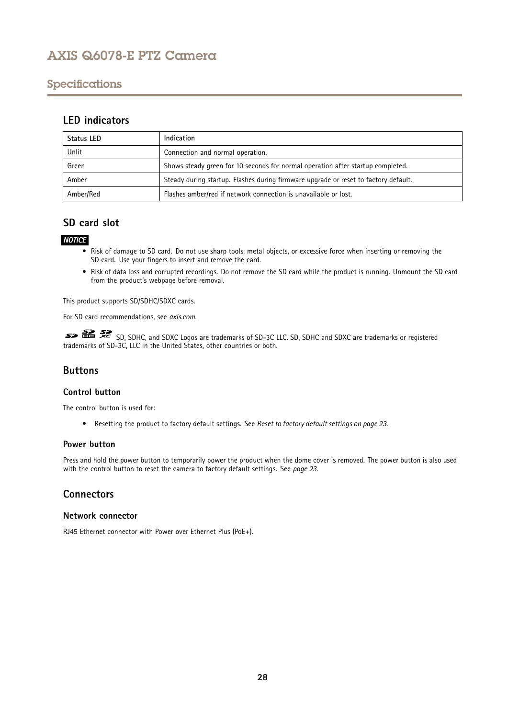## <span id="page-27-0"></span>Specifications

## **LED indicators**

| Status LED | Indication                                                                          |
|------------|-------------------------------------------------------------------------------------|
| Unlit      | Connection and normal operation.                                                    |
| Green      | Shows steady green for 10 seconds for normal operation after startup completed.     |
| Amber      | Steady during startup. Flashes during firmware upgrade or reset to factory default. |
| Amber/Red  | Flashes amber/red if network connection is unavailable or lost.                     |

## **SD card slot**

## *NOTICE*

- Risk of damage to SD card. Do not use sharp tools, metal objects, or excessive force when inserting or removing the SD card. Use your fingers to insert and remove the card.
- Risk of data loss and corrupted recordings. Do not remove the SD card while the product is running. Unmount the SD card from the product's webpage before removal.

This product supports SD/SDHC/SDXC cards.

For SD card recommendations, see *[axis.com](https://www.axis.com)*.

SD, SDHC, and SDXC Logos are trademarks of SD-3C LLC. SD, SDHC and SDXC are trademarks or registered trademarks of SD-3C, LLC in the United States, other countries or both.

## **Buttons**

## **Control button**

The control button is used for:

• Resetting the product to factory default settings. See *Reset to factory default [settings](#page-22-0) on page [23](#page-22-0)*.

## **Power button**

Press and hold the power button to temporarily power the product when the dome cover is removed. The power button is also used with the control button to reset the camera to factory default settings. See *[page](#page-22-0) [23](#page-22-0)*.

## **Connectors**

## **Network connector**

RJ45 Ethernet connector with Power over Ethernet Plus (PoE+).